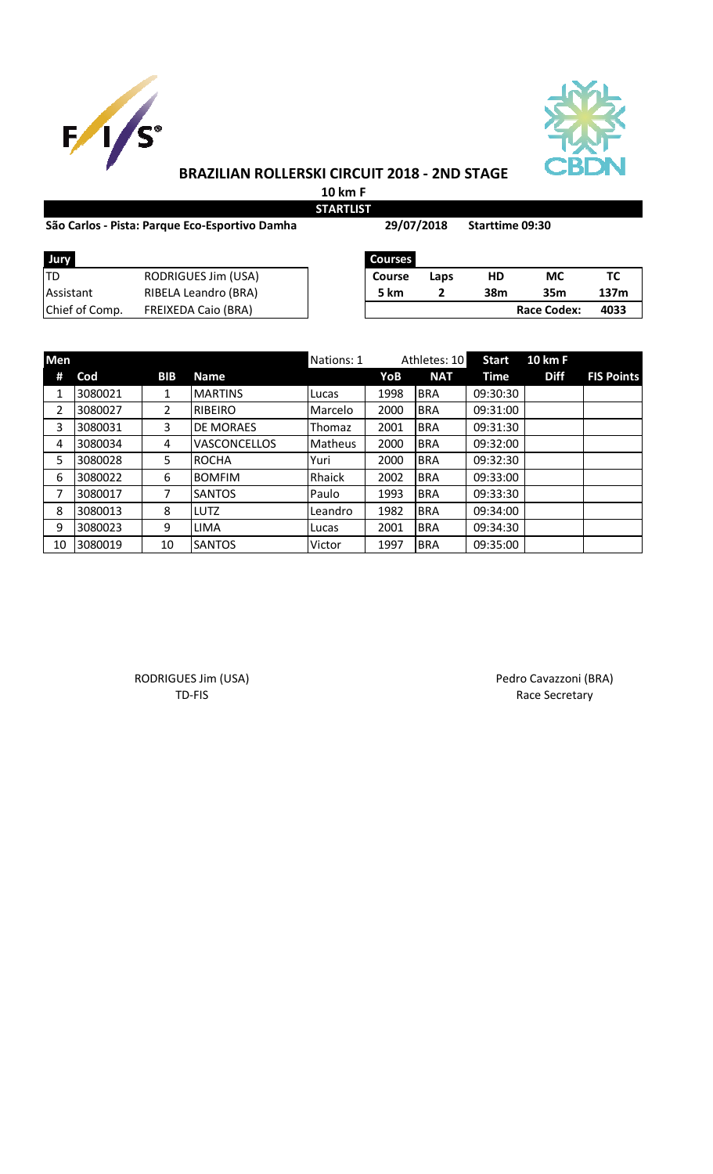



### **BRAZILIAN ROLLERSKI CIRCUIT 2018 - 2ND STAGE**

**10 km F STARTLIST**

|                | São Carlos - Pista: Parque Eco-Esportivo Damha | 29/07/2018     |      | <b>Starttime 09:30</b> |                    |      |
|----------------|------------------------------------------------|----------------|------|------------------------|--------------------|------|
| Jury           |                                                | <b>Courses</b> |      |                        |                    |      |
| TD             | <b>RODRIGUES Jim (USA)</b>                     | <b>Course</b>  | Laps | HD                     | <b>MC</b>          | тс   |
| Assistant      | RIBELA Leandro (BRA)                           | 5 km           |      | 38m                    | 35 <sub>m</sub>    | 137m |
| Chief of Comp. | <b>FREIXEDA Caio (BRA)</b>                     |                |      |                        | <b>Race Codex:</b> | 4033 |

| Men | Athletes: 10<br>Nations: 1 |            |                     |                | <b>Start</b> | <b>10 km F</b> |             |             |                   |
|-----|----------------------------|------------|---------------------|----------------|--------------|----------------|-------------|-------------|-------------------|
| #   | Cod                        | <b>BIB</b> | <b>Name</b>         |                | YoB          | <b>NAT</b>     | <b>Time</b> | <b>Diff</b> | <b>FIS Points</b> |
| 1   | 3080021                    | 1          | <b>MARTINS</b>      | Lucas          | 1998         | <b>BRA</b>     | 09:30:30    |             |                   |
| 2   | 3080027                    | 2          | <b>RIBEIRO</b>      | Marcelo        | 2000         | <b>BRA</b>     | 09:31:00    |             |                   |
| 3   | 3080031                    | 3          | DE MORAES           | Thomaz         | 2001         | <b>BRA</b>     | 09:31:30    |             |                   |
| 4   | 3080034                    | 4          | <b>VASCONCELLOS</b> | <b>Matheus</b> | 2000         | <b>BRA</b>     | 09:32:00    |             |                   |
| 5   | 3080028                    | 5          | <b>ROCHA</b>        | Yuri           | 2000         | <b>BRA</b>     | 09:32:30    |             |                   |
| 6   | 3080022                    | 6          | <b>BOMFIM</b>       | Rhaick         | 2002         | <b>BRA</b>     | 09:33:00    |             |                   |
| 7   | 3080017                    | 7          | <b>SANTOS</b>       | Paulo          | 1993         | <b>BRA</b>     | 09:33:30    |             |                   |
| 8   | 3080013                    | 8          | LUTZ                | Leandro        | 1982         | <b>BRA</b>     | 09:34:00    |             |                   |
| 9   | 3080023                    | 9          | <b>LIMA</b>         | Lucas          | 2001         | <b>BRA</b>     | 09:34:30    |             |                   |
| 10  | 3080019                    | 10         | <b>SANTOS</b>       | Victor         | 1997         | <b>BRA</b>     | 09:35:00    |             |                   |

RODRIGUES Jim (USA) **Pedro Cavazzoni (BRA)** Pedro Cavazzoni (BRA) TD-FIS Race Secretary